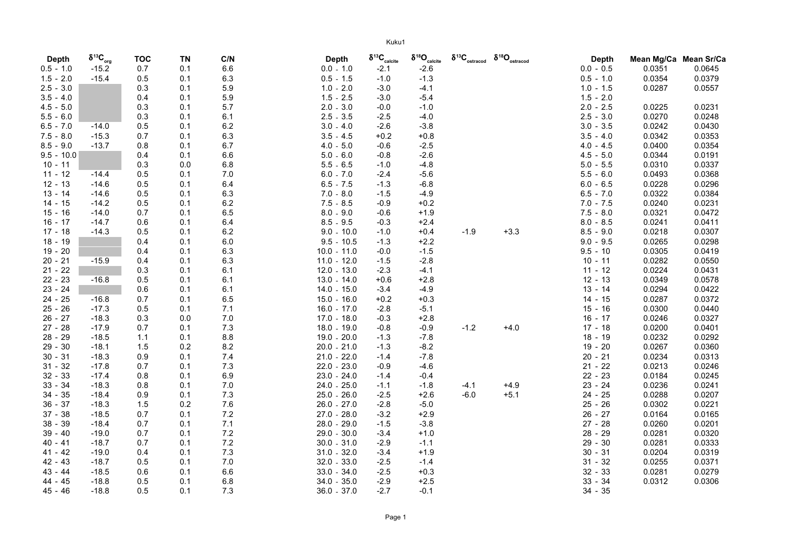| <b>Depth</b> | $\delta^{13}C_{\text{org}}$ | <b>TOC</b> | <b>TN</b> | C/N | <b>Depth</b>    | $\delta^{13}C_{\text{calcite}}$ | $\delta^{18}\textsf{O}_\textsf{calcite}$ | $\delta^{13}\text{C}_{\rm ostracod}$ | $\delta^{18}\Omega_{\rm ostracod}$ | <b>Depth</b> | Mean Mg/Ca Mean Sr/Ca |        |
|--------------|-----------------------------|------------|-----------|-----|-----------------|---------------------------------|------------------------------------------|--------------------------------------|------------------------------------|--------------|-----------------------|--------|
| $0.5 - 1.0$  | $-15.2$                     | 0.7        | 0.1       | 6.6 | $0.0 - 1.0$     | $-2.1$                          | $-2.6$                                   |                                      |                                    | $0.0 - 0.5$  | 0.0351                | 0.0645 |
| $1.5 - 2.0$  | $-15.4$                     | 0.5        | 0.1       | 6.3 | $0.5 - 1.5$     | $-1.0$                          | $-1.3$                                   |                                      |                                    | $0.5 - 1.0$  | 0.0354                | 0.0379 |
| $2.5 - 3.0$  |                             | 0.3        | 0.1       | 5.9 | 1.0<br>2.0      | $-3.0$                          | $-4.1$                                   |                                      |                                    | $1.0 - 1.5$  | 0.0287                | 0.0557 |
| $3.5 - 4.0$  |                             | 0.4        | 0.1       | 5.9 | 1.5<br>2.5      | $-3.0$                          | $-5.4$                                   |                                      |                                    | $1.5 - 2.0$  |                       |        |
| $4.5 - 5.0$  |                             | 0.3        | 0.1       | 5.7 | 3.0<br>2.0      | $-0.0$                          | $-1.0$                                   |                                      |                                    | $2.0 - 2.5$  | 0.0225                | 0.0231 |
| $5.5 - 6.0$  |                             | 0.3        | 0.1       | 6.1 | 2.5<br>3.5      | $-2.5$                          | $-4.0$                                   |                                      |                                    | $2.5 - 3.0$  | 0.0270                | 0.0248 |
| $6.5 - 7.0$  | $-14.0$                     | 0.5        | 0.1       | 6.2 | 3.0<br>$-4.0$   | $-2.6$                          | $-3.8$                                   |                                      |                                    | $3.0 - 3.5$  | 0.0242                | 0.0430 |
| $7.5 - 8.0$  | $-15.3$                     | 0.7        | 0.1       | 6.3 | 3.5<br>$-4.5$   | $+0.2$                          | $+0.8$                                   |                                      |                                    | $3.5 - 4.0$  | 0.0342                | 0.0353 |
| $8.5 - 9.0$  | $-13.7$                     | 0.8        | 0.1       | 6.7 | $4.0 - 5.0$     | $-0.6$                          | $-2.5$                                   |                                      |                                    | $4.0 - 4.5$  | 0.0400                | 0.0354 |
| $9.5 - 10.0$ |                             | 0.4        | 0.1       | 6.6 | $5.0 - 6.0$     | $-0.8$                          | $-2.6$                                   |                                      |                                    | $4.5 - 5.0$  | 0.0344                | 0.0191 |
| $10 - 11$    |                             | 0.3        | 0.0       | 6.8 | $5.5 - 6.5$     | $-1.0$                          | $-4.8$                                   |                                      |                                    | $5.0 - 5.5$  | 0.0310                | 0.0337 |
| $11 - 12$    | $-14.4$                     | 0.5        | 0.1       | 7.0 | $6.0 - 7.0$     | $-2.4$                          | $-5.6$                                   |                                      |                                    | $5.5 - 6.0$  | 0.0493                | 0.0368 |
| $12 - 13$    | $-14.6$                     | 0.5        | 0.1       | 6.4 | $6.5 - 7.5$     | $-1.3$                          | $-6.8$                                   |                                      |                                    | $6.0 - 6.5$  | 0.0228                | 0.0296 |
| $13 - 14$    | $-14.6$                     | 0.5        | 0.1       | 6.3 | $7.0 - 8.0$     | $-1.5$                          | $-4.9$                                   |                                      |                                    | $6.5 - 7.0$  | 0.0322                | 0.0384 |
| $14 - 15$    | $-14.2$                     | 0.5        | 0.1       | 6.2 | 7.5<br>$-8.5$   | $-0.9$                          | $+0.2$                                   |                                      |                                    | $7.0 - 7.5$  | 0.0240                | 0.0231 |
| $15 - 16$    | $-14.0$                     | 0.7        | 0.1       | 6.5 | $8.0 - 9.0$     | $-0.6$                          | $+1.9$                                   |                                      |                                    | $7.5 - 8.0$  | 0.0321                | 0.0472 |
| $16 - 17$    | $-14.7$                     | 0.6        | 0.1       | 6.4 | $8.5 - 9.5$     | $-0.3$                          | $+2.4$                                   |                                      |                                    | $8.0 - 8.5$  | 0.0241                | 0.0411 |
| $17 - 18$    | $-14.3$                     | 0.5        | 0.1       | 6.2 | $9.0 -$<br>10.0 | $-1.0$                          | $+0.4$                                   | $-1.9$                               | $+3.3$                             | $8.5 - 9.0$  | 0.0218                | 0.0307 |
| $18 - 19$    |                             | 0.4        | 0.1       | 6.0 | $9.5 - 10.5$    | $-1.3$                          | $+2.2$                                   |                                      |                                    | $9.0 - 9.5$  | 0.0265                | 0.0298 |
| $19 - 20$    |                             | 0.4        | 0.1       | 6.3 | $10.0 - 11.0$   | $-0.0$                          | $-1.5$                                   |                                      |                                    | $9.5 - 10$   | 0.0305                | 0.0419 |
| $20 - 21$    | $-15.9$                     | 0.4        | 0.1       | 6.3 | $11.0 - 12.0$   | $-1.5$                          | $-2.8$                                   |                                      |                                    | $10 - 11$    | 0.0282                | 0.0550 |
| $21 - 22$    |                             | 0.3        | 0.1       | 6.1 | $12.0 - 13.0$   | $-2.3$                          | $-4.1$                                   |                                      |                                    | $-12$<br>11  | 0.0224                | 0.0431 |
| $22 - 23$    | $-16.8$                     | 0.5        | 0.1       | 6.1 | $13.0 - 14.0$   | $+0.6$                          | $+2.8$                                   |                                      |                                    | $12 - 13$    | 0.0349                | 0.0578 |
| $23 - 24$    |                             | 0.6        | 0.1       | 6.1 | $14.0 - 15.0$   | $-3.4$                          | $-4.9$                                   |                                      |                                    | $13 - 14$    | 0.0294                | 0.0422 |
| 24 - 25      | $-16.8$                     | 0.7        | 0.1       | 6.5 | $15.0 - 16.0$   | $+0.2$                          | $+0.3$                                   |                                      |                                    | $14 - 15$    | 0.0287                | 0.0372 |
| $25 - 26$    | $-17.3$                     | 0.5        | 0.1       | 7.1 | $16.0 - 17.0$   | $-2.8$                          | $-5.1$                                   |                                      |                                    | $15 - 16$    | 0.0300                | 0.0440 |
| $26 - 27$    | $-18.3$                     | 0.3        | 0.0       | 7.0 | 17.0 - 18.0     | $-0.3$                          | $+2.8$                                   |                                      |                                    | $16 - 17$    | 0.0246                | 0.0327 |
| $27 - 28$    | $-17.9$                     | 0.7        | 0.1       | 7.3 | $18.0 - 19.0$   | $-0.8$                          | $-0.9$                                   | $-1.2$                               | $+4.0$                             | $17 - 18$    | 0.0200                | 0.0401 |
| 28 - 29      | $-18.5$                     | 1.1        | 0.1       | 8.8 | $19.0 - 20.0$   | $-1.3$                          | $-7.8$                                   |                                      |                                    | $18 - 19$    | 0.0232                | 0.0292 |
| $29 - 30$    | $-18.1$                     | 1.5        | 0.2       | 8.2 | $20.0 - 21.0$   | $-1.3$                          | $-8.2$                                   |                                      |                                    | 19<br>$-20$  | 0.0267                | 0.0360 |
| $30 - 31$    | $-18.3$                     | 0.9        | 0.1       | 7.4 | $21.0 - 22.0$   | $-1.4$                          | $-7.8$                                   |                                      |                                    | 20<br>$-21$  | 0.0234                | 0.0313 |
| $31 - 32$    | $-17.8$                     | 0.7        | 0.1       | 7.3 | $22.0 - 23.0$   | $-0.9$                          | $-4.6$                                   |                                      |                                    | 21<br>$-22$  | 0.0213                | 0.0246 |
| $32 - 33$    | $-17.4$                     | 0.8        | 0.1       | 6.9 | $23.0 - 24.0$   | $-1.4$                          | $-0.4$                                   |                                      |                                    | $22 - 23$    | 0.0184                | 0.0245 |
| $33 - 34$    | $-18.3$                     | 0.8        | 0.1       | 7.0 | 24.0 - 25.0     | $-1.1$                          | $-1.8$                                   | $-4.1$                               | $+4.9$                             | $23 - 24$    | 0.0236                | 0.0241 |
| $34 - 35$    | $-18.4$                     | 0.9        | 0.1       | 7.3 | $25.0 - 26.0$   | $-2.5$                          | $+2.6$                                   | $-6.0$                               | $+5.1$                             | 24<br>$-25$  | 0.0288                | 0.0207 |
| $36 - 37$    | $-18.3$                     | 1.5        | 0.2       | 7.6 | $26.0 - 27.0$   | $-2.8$                          | $-5.0$                                   |                                      |                                    | 25<br>$-26$  | 0.0302                | 0.0221 |
| $37 - 38$    | $-18.5$                     | 0.7        | 0.1       | 7.2 | $27.0 - 28.0$   | $-3.2$                          | $+2.9$                                   |                                      |                                    | 26<br>$-27$  | 0.0164                | 0.0165 |
| $38 - 39$    | $-18.4$                     | 0.7        | 0.1       | 7.1 | 28.0 - 29.0     | $-1.5$                          | $-3.8$                                   |                                      |                                    | 27<br>$-28$  | 0.0260                | 0.0201 |
| $39 - 40$    | $-19.0$                     | 0.7        | 0.1       | 7.2 | 29.0 - 30.0     | $-3.4$                          | $+1.0$                                   |                                      |                                    | 28<br>$-29$  | 0.0281                | 0.0320 |
| $40 - 41$    | $-18.7$                     | 0.7        | 0.1       | 7.2 | $30.0 - 31.0$   | $-2.9$                          | $-1.1$                                   |                                      |                                    | 29<br>$-30$  | 0.0281                | 0.0333 |
| $41 - 42$    | $-19.0$                     | 0.4        | 0.1       | 7.3 | $31.0 - 32.0$   | $-3.4$                          | $+1.9$                                   |                                      |                                    | $30 - 31$    | 0.0204                | 0.0319 |
| $42 - 43$    | $-18.7$                     | 0.5        | 0.1       | 7.0 | $32.0 - 33.0$   | $-2.5$                          | $-1.4$                                   |                                      |                                    | 31<br>$-32$  | 0.0255                | 0.0371 |
| 43 - 44      | $-18.5$                     | 0.6        | 0.1       | 6.6 | $33.0 - 34.0$   | $-2.5$                          | $+0.3$                                   |                                      |                                    | $32 - 33$    | 0.0281                | 0.0279 |
| 44 - 45      | $-18.8$                     | 0.5        | 0.1       | 6.8 | $34.0 - 35.0$   | $-2.9$                          | $+2.5$                                   |                                      |                                    | $33 - 34$    | 0.0312                | 0.0306 |
| 45 - 46      | $-18.8$                     | 0.5        | 0.1       | 7.3 | $36.0 - 37.0$   | $-2.7$                          | $-0.1$                                   |                                      |                                    | $34 - 35$    |                       |        |